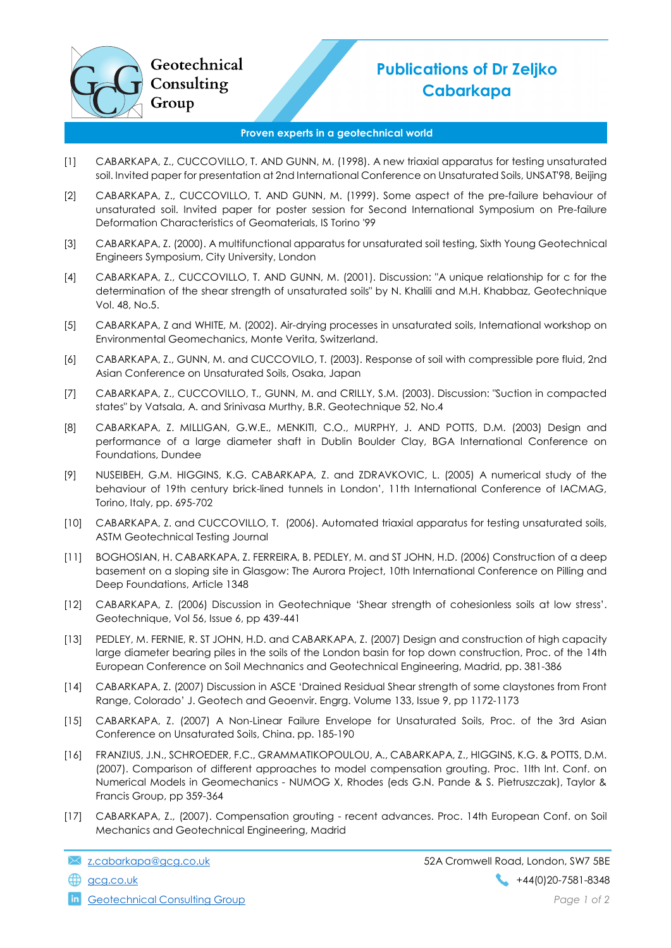

## Publications of Dr Zeljko Cabarkapa

## Proven experts in a geotechnical world

- [1] CABARKAPA, Z., CUCCOVILLO, T. AND GUNN, M. (1998). A new triaxial apparatus for testing unsaturated soil. Invited paper for presentation at 2nd International Conference on Unsaturated Soils, UNSAT'98, Beijing
- [2] CABARKAPA, Z., CUCCOVILLO, T. AND GUNN, M. (1999). Some aspect of the pre-failure behaviour of unsaturated soil. Invited paper for poster session for Second International Symposium on Pre-failure Deformation Characteristics of Geomaterials, IS Torino '99
- [3] CABARKAPA, Z. (2000). A multifunctional apparatus for unsaturated soil testing, Sixth Young Geotechnical Engineers Symposium, City University, London
- [4] CABARKAPA, Z., CUCCOVILLO, T. AND GUNN, M. (2001). Discussion: "A unique relationship for c for the determination of the shear strength of unsaturated soils" by N. Khalili and M.H. Khabbaz, Geotechnique Vol. 48, No.5.
- [5] CABARKAPA, Z and WHITE, M. (2002). Air-drying processes in unsaturated soils, International workshop on Environmental Geomechanics, Monte Verita, Switzerland.
- [6] CABARKAPA, Z., GUNN, M. and CUCCOVILO, T. (2003). Response of soil with compressible pore fluid, 2nd Asian Conference on Unsaturated Soils, Osaka, Japan
- [7] CABARKAPA, Z., CUCCOVILLO, T., GUNN, M. and CRILLY, S.M. (2003). Discussion: "Suction in compacted states" by Vatsala, A. and Srinivasa Murthy, B.R. Geotechnique 52, No.4
- [8] CABARKAPA, Z. MILLIGAN, G.W.E., MENKITI, C.O., MURPHY, J. AND POTTS, D.M. (2003) Design and performance of a large diameter shaft in Dublin Boulder Clay, BGA International Conference on Foundations, Dundee
- [9] NUSEIBEH, G.M. HIGGINS, K.G. CABARKAPA, Z. and ZDRAVKOVIC, L. (2005) A numerical study of the behaviour of 19th century brick-lined tunnels in London', 11th International Conference of IACMAG, Torino, Italy, pp. 695-702
- [10] CABARKAPA, Z. and CUCCOVILLO, T. (2006). Automated triaxial apparatus for testing unsaturated soils, ASTM Geotechnical Testing Journal
- [11] BOGHOSIAN, H. CABARKAPA, Z. FERREIRA, B. PEDLEY, M. and ST JOHN, H.D. (2006) Construction of a deep basement on a sloping site in Glasgow: The Aurora Project, 10th International Conference on Pilling and Deep Foundations, Article 1348
- [12] CABARKAPA, Z. (2006) Discussion in Geotechnique 'Shear strength of cohesionless soils at low stress'. Geotechnique, Vol 56, Issue 6, pp 439-441
- [13] PEDLEY, M. FERNIE, R. ST JOHN, H.D. and CABARKAPA, Z. (2007) Design and construction of high capacity large diameter bearing piles in the soils of the London basin for top down construction, Proc. of the 14th European Conference on Soil Mechnanics and Geotechnical Engineering, Madrid, pp. 381-386
- [14] CABARKAPA, Z. (2007) Discussion in ASCE 'Drained Residual Shear strength of some claystones from Front Range, Colorado' J. Geotech and Geoenvir. Engrg. Volume 133, Issue 9, pp 1172-1173
- [15] CABARKAPA, Z. (2007) A Non-Linear Failure Envelope for Unsaturated Soils, Proc. of the 3rd Asian Conference on Unsaturated Soils, China. pp. 185-190
- [16] FRANZIUS, J.N., SCHROEDER, F.C., GRAMMATIKOPOULOU, A., CABARKAPA, Z., HIGGINS, K.G. & POTTS, D.M. (2007). Comparison of different approaches to model compensation grouting. Proc. 1lth lnt. Conf. on Numerical Models in Geomechanics - NUMOG X, Rhodes (eds G.N. Pande & S. Pietruszczak), Taylor & Francis Group, pp 359-364
- [17] CABARKAPA, Z., (2007). Compensation grouting recent advances. Proc. 14th European Conf. on Soil Mechanics and Geotechnical Engineering, Madrid

**in** Geotechnical Consulting Group **Page 1 of 2 Page 1 of 2**